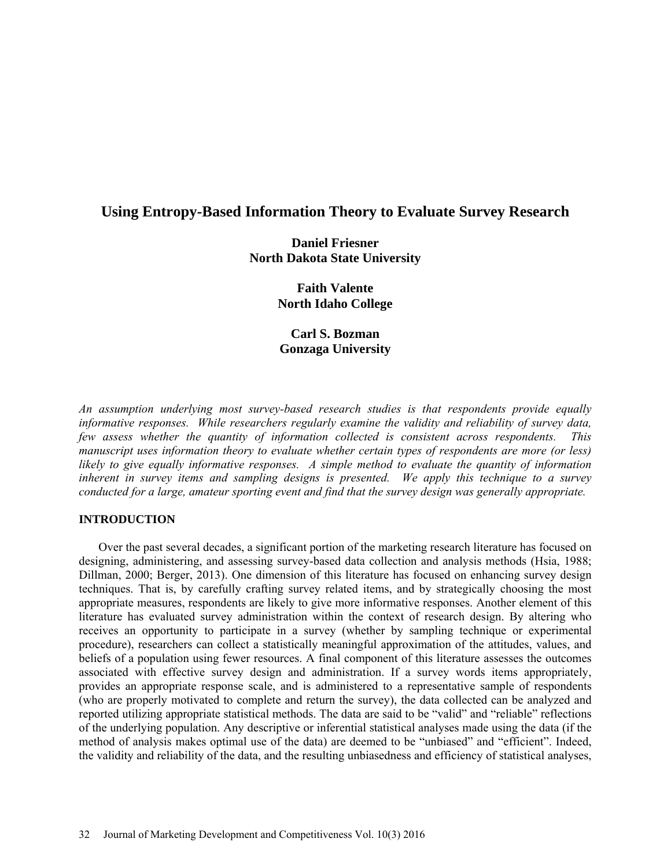# **Using Entropy-Based Information Theory to Evaluate Survey Research**

## **Daniel Friesner North Dakota State University**

**Faith Valente North Idaho College** 

**Carl S. Bozman Gonzaga University** 

*An assumption underlying most survey-based research studies is that respondents provide equally informative responses. While researchers regularly examine the validity and reliability of survey data, few assess whether the quantity of information collected is consistent across respondents. This manuscript uses information theory to evaluate whether certain types of respondents are more (or less) likely to give equally informative responses. A simple method to evaluate the quantity of information inherent in survey items and sampling designs is presented. We apply this technique to a survey conducted for a large, amateur sporting event and find that the survey design was generally appropriate.* 

#### **INTRODUCTION**

Over the past several decades, a significant portion of the marketing research literature has focused on designing, administering, and assessing survey-based data collection and analysis methods (Hsia, 1988; Dillman, 2000; Berger, 2013). One dimension of this literature has focused on enhancing survey design techniques. That is, by carefully crafting survey related items, and by strategically choosing the most appropriate measures, respondents are likely to give more informative responses. Another element of this literature has evaluated survey administration within the context of research design. By altering who receives an opportunity to participate in a survey (whether by sampling technique or experimental procedure), researchers can collect a statistically meaningful approximation of the attitudes, values, and beliefs of a population using fewer resources. A final component of this literature assesses the outcomes associated with effective survey design and administration. If a survey words items appropriately, provides an appropriate response scale, and is administered to a representative sample of respondents (who are properly motivated to complete and return the survey), the data collected can be analyzed and reported utilizing appropriate statistical methods. The data are said to be "valid" and "reliable" reflections of the underlying population. Any descriptive or inferential statistical analyses made using the data (if the method of analysis makes optimal use of the data) are deemed to be "unbiased" and "efficient". Indeed, the validity and reliability of the data, and the resulting unbiasedness and efficiency of statistical analyses,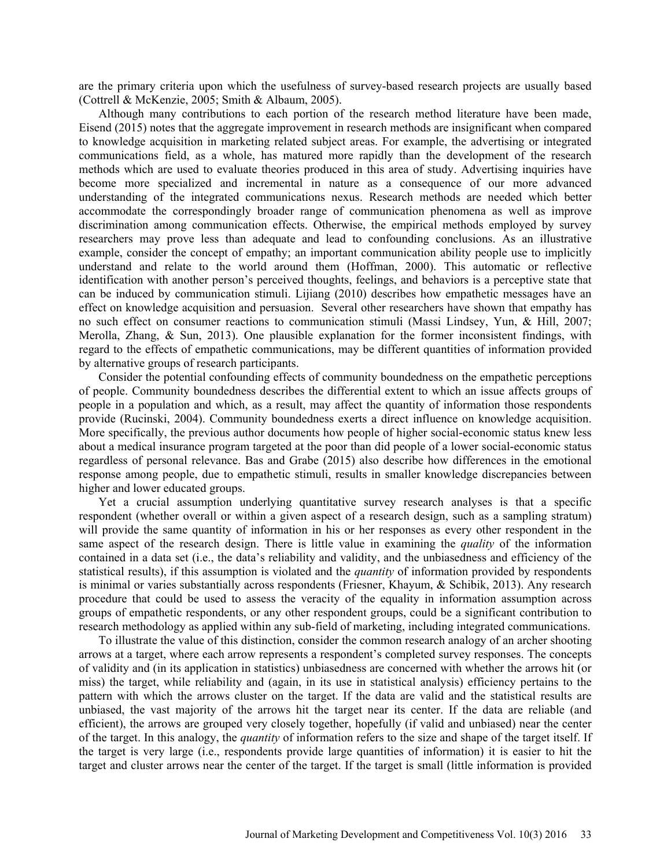are the primary criteria upon which the usefulness of survey-based research projects are usually based (Cottrell & McKenzie, 2005; Smith & Albaum, 2005).

Although many contributions to each portion of the research method literature have been made, Eisend (2015) notes that the aggregate improvement in research methods are insignificant when compared to knowledge acquisition in marketing related subject areas. For example, the advertising or integrated communications field, as a whole, has matured more rapidly than the development of the research methods which are used to evaluate theories produced in this area of study. Advertising inquiries have become more specialized and incremental in nature as a consequence of our more advanced understanding of the integrated communications nexus. Research methods are needed which better accommodate the correspondingly broader range of communication phenomena as well as improve discrimination among communication effects. Otherwise, the empirical methods employed by survey researchers may prove less than adequate and lead to confounding conclusions. As an illustrative example, consider the concept of empathy; an important communication ability people use to implicitly understand and relate to the world around them (Hoffman, 2000). This automatic or reflective identification with another person's perceived thoughts, feelings, and behaviors is a perceptive state that can be induced by communication stimuli. Lijiang (2010) describes how empathetic messages have an effect on knowledge acquisition and persuasion. Several other researchers have shown that empathy has no such effect on consumer reactions to communication stimuli (Massi Lindsey, Yun, & Hill, 2007; Merolla, Zhang,  $\&$  Sun, 2013). One plausible explanation for the former inconsistent findings, with regard to the effects of empathetic communications, may be different quantities of information provided by alternative groups of research participants.

Consider the potential confounding effects of community boundedness on the empathetic perceptions of people. Community boundedness describes the differential extent to which an issue affects groups of people in a population and which, as a result, may affect the quantity of information those respondents provide (Rucinski, 2004). Community boundedness exerts a direct influence on knowledge acquisition. More specifically, the previous author documents how people of higher social-economic status knew less about a medical insurance program targeted at the poor than did people of a lower social-economic status regardless of personal relevance. Bas and Grabe (2015) also describe how differences in the emotional response among people, due to empathetic stimuli, results in smaller knowledge discrepancies between higher and lower educated groups.

Yet a crucial assumption underlying quantitative survey research analyses is that a specific respondent (whether overall or within a given aspect of a research design, such as a sampling stratum) will provide the same quantity of information in his or her responses as every other respondent in the same aspect of the research design. There is little value in examining the *quality* of the information contained in a data set (i.e., the data's reliability and validity, and the unbiasedness and efficiency of the statistical results), if this assumption is violated and the *quantity* of information provided by respondents is minimal or varies substantially across respondents (Friesner, Khayum, & Schibik, 2013). Any research procedure that could be used to assess the veracity of the equality in information assumption across groups of empathetic respondents, or any other respondent groups, could be a significant contribution to research methodology as applied within any sub-field of marketing, including integrated communications.

To illustrate the value of this distinction, consider the common research analogy of an archer shooting arrows at a target, where each arrow represents a respondent's completed survey responses. The concepts of validity and (in its application in statistics) unbiasedness are concerned with whether the arrows hit (or miss) the target, while reliability and (again, in its use in statistical analysis) efficiency pertains to the pattern with which the arrows cluster on the target. If the data are valid and the statistical results are unbiased, the vast majority of the arrows hit the target near its center. If the data are reliable (and efficient), the arrows are grouped very closely together, hopefully (if valid and unbiased) near the center of the target. In this analogy, the *quantity* of information refers to the size and shape of the target itself. If the target is very large (i.e., respondents provide large quantities of information) it is easier to hit the target and cluster arrows near the center of the target. If the target is small (little information is provided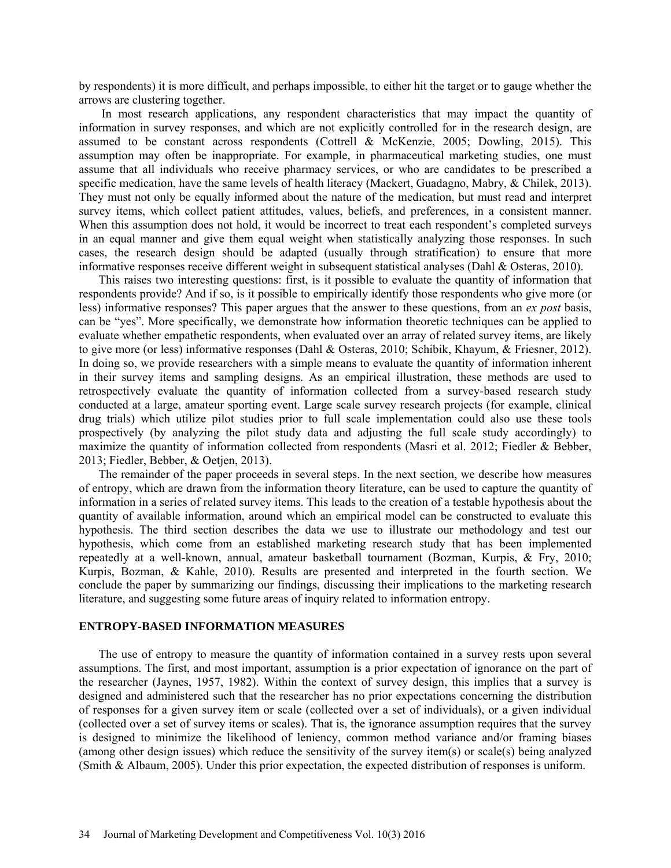by respondents) it is more difficult, and perhaps impossible, to either hit the target or to gauge whether the arrows are clustering together.

 In most research applications, any respondent characteristics that may impact the quantity of information in survey responses, and which are not explicitly controlled for in the research design, are assumed to be constant across respondents (Cottrell & McKenzie, 2005; Dowling, 2015). This assumption may often be inappropriate. For example, in pharmaceutical marketing studies, one must assume that all individuals who receive pharmacy services, or who are candidates to be prescribed a specific medication, have the same levels of health literacy (Mackert, Guadagno, Mabry, & Chilek, 2013). They must not only be equally informed about the nature of the medication, but must read and interpret survey items, which collect patient attitudes, values, beliefs, and preferences, in a consistent manner. When this assumption does not hold, it would be incorrect to treat each respondent's completed surveys in an equal manner and give them equal weight when statistically analyzing those responses. In such cases, the research design should be adapted (usually through stratification) to ensure that more informative responses receive different weight in subsequent statistical analyses (Dahl & Osteras, 2010).

This raises two interesting questions: first, is it possible to evaluate the quantity of information that respondents provide? And if so, is it possible to empirically identify those respondents who give more (or less) informative responses? This paper argues that the answer to these questions, from an *ex post* basis, can be "yes". More specifically, we demonstrate how information theoretic techniques can be applied to evaluate whether empathetic respondents, when evaluated over an array of related survey items, are likely to give more (or less) informative responses (Dahl & Osteras, 2010; Schibik, Khayum, & Friesner, 2012). In doing so, we provide researchers with a simple means to evaluate the quantity of information inherent in their survey items and sampling designs. As an empirical illustration, these methods are used to retrospectively evaluate the quantity of information collected from a survey-based research study conducted at a large, amateur sporting event. Large scale survey research projects (for example, clinical drug trials) which utilize pilot studies prior to full scale implementation could also use these tools prospectively (by analyzing the pilot study data and adjusting the full scale study accordingly) to maximize the quantity of information collected from respondents (Masri et al. 2012; Fiedler & Bebber, 2013; Fiedler, Bebber, & Oetjen, 2013).

The remainder of the paper proceeds in several steps. In the next section, we describe how measures of entropy, which are drawn from the information theory literature, can be used to capture the quantity of information in a series of related survey items. This leads to the creation of a testable hypothesis about the quantity of available information, around which an empirical model can be constructed to evaluate this hypothesis. The third section describes the data we use to illustrate our methodology and test our hypothesis, which come from an established marketing research study that has been implemented repeatedly at a well-known, annual, amateur basketball tournament (Bozman, Kurpis, & Fry, 2010; Kurpis, Bozman, & Kahle, 2010). Results are presented and interpreted in the fourth section. We conclude the paper by summarizing our findings, discussing their implications to the marketing research literature, and suggesting some future areas of inquiry related to information entropy.

#### **ENTROPY-BASED INFORMATION MEASURES**

The use of entropy to measure the quantity of information contained in a survey rests upon several assumptions. The first, and most important, assumption is a prior expectation of ignorance on the part of the researcher (Jaynes, 1957, 1982). Within the context of survey design, this implies that a survey is designed and administered such that the researcher has no prior expectations concerning the distribution of responses for a given survey item or scale (collected over a set of individuals), or a given individual (collected over a set of survey items or scales). That is, the ignorance assumption requires that the survey is designed to minimize the likelihood of leniency, common method variance and/or framing biases (among other design issues) which reduce the sensitivity of the survey item(s) or scale(s) being analyzed (Smith & Albaum, 2005). Under this prior expectation, the expected distribution of responses is uniform.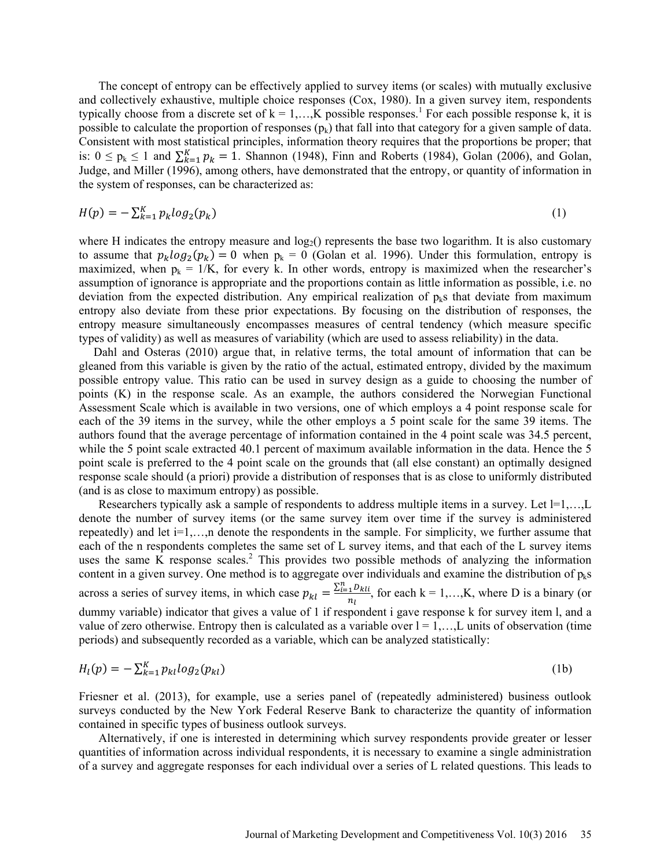The concept of entropy can be effectively applied to survey items (or scales) with mutually exclusive and collectively exhaustive, multiple choice responses (Cox, 1980). In a given survey item, respondents typically choose from a discrete set of  $k = 1,...,K$  possible responses.<sup>1</sup> For each possible response k, it is possible to calculate the proportion of responses  $(p_k)$  that fall into that category for a given sample of data. Consistent with most statistical principles, information theory requires that the proportions be proper; that is:  $0 \le p_k \le 1$  and  $\sum_{k=1}^{K} p_k = 1$ . Shannon (1948), Finn and Roberts (1984), Golan (2006), and Golan, Judge, and Miller (1996), among others, have demonstrated that the entropy, or quantity of information in the system of responses, can be characterized as:

$$
H(p) = -\sum_{k=1}^{K} p_k \log_2(p_k) \tag{1}
$$

where H indicates the entropy measure and  $log<sub>2</sub>($ ) represents the base two logarithm. It is also customary to assume that  $p_k log_2(p_k) = 0$  when  $p_k = 0$  (Golan et al. 1996). Under this formulation, entropy is maximized, when  $p_k = 1/K$ , for every k. In other words, entropy is maximized when the researcher's assumption of ignorance is appropriate and the proportions contain as little information as possible, i.e. no deviation from the expected distribution. Any empirical realization of  $p_k$ s that deviate from maximum entropy also deviate from these prior expectations. By focusing on the distribution of responses, the entropy measure simultaneously encompasses measures of central tendency (which measure specific types of validity) as well as measures of variability (which are used to assess reliability) in the data.

Dahl and Osteras (2010) argue that, in relative terms, the total amount of information that can be gleaned from this variable is given by the ratio of the actual, estimated entropy, divided by the maximum possible entropy value. This ratio can be used in survey design as a guide to choosing the number of points (K) in the response scale. As an example, the authors considered the Norwegian Functional Assessment Scale which is available in two versions, one of which employs a 4 point response scale for each of the 39 items in the survey, while the other employs a 5 point scale for the same 39 items. The authors found that the average percentage of information contained in the 4 point scale was 34.5 percent, while the 5 point scale extracted 40.1 percent of maximum available information in the data. Hence the 5 point scale is preferred to the 4 point scale on the grounds that (all else constant) an optimally designed response scale should (a priori) provide a distribution of responses that is as close to uniformly distributed (and is as close to maximum entropy) as possible.

Researchers typically ask a sample of respondents to address multiple items in a survey. Let  $I=1,...,L$ denote the number of survey items (or the same survey item over time if the survey is administered repeatedly) and let  $i=1,...,n$  denote the respondents in the sample. For simplicity, we further assume that each of the n respondents completes the same set of L survey items, and that each of the L survey items uses the same  $\overline{K}$  response scales.<sup>2</sup> This provides two possible methods of analyzing the information content in a given survey. One method is to aggregate over individuals and examine the distribution of  $p_k s$ across a series of survey items, in which case  $p_{kl} = \frac{\sum_{i=1}^{n} D_{kli}}{n}$  $\frac{1}{n_l}$ , for each k = 1,...,K, where D is a binary (or dummy variable) indicator that gives a value of 1 if respondent i gave response k for survey item l, and a value of zero otherwise. Entropy then is calculated as a variable over  $l = 1, \ldots, L$  units of observation (time periods) and subsequently recorded as a variable, which can be analyzed statistically:

$$
H_l(p) = -\sum_{k=1}^{K} p_{kl} \log_2(p_{kl})
$$
 (1b)

Friesner et al. (2013), for example, use a series panel of (repeatedly administered) business outlook surveys conducted by the New York Federal Reserve Bank to characterize the quantity of information contained in specific types of business outlook surveys.

Alternatively, if one is interested in determining which survey respondents provide greater or lesser quantities of information across individual respondents, it is necessary to examine a single administration of a survey and aggregate responses for each individual over a series of L related questions. This leads to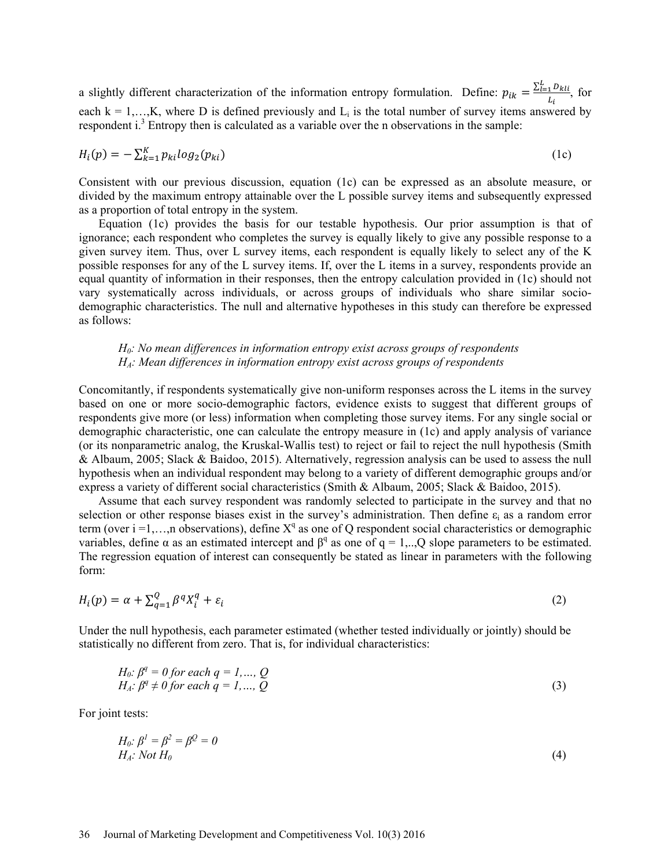a slightly different characterization of the information entropy formulation. Define:  $p_{ik} = \frac{\sum_{l=1}^{L} D_{kli}}{L}$  $\frac{1}{L_i}$ , for each  $k = 1,...,K$ , where D is defined previously and  $L_i$  is the total number of survey items answered by respondent  $i^3$ . Entropy then is calculated as a variable over the n observations in the sample:

$$
H_i(p) = -\sum_{k=1}^K p_{ki} \log_2(p_{ki})
$$
\n<sup>(1c)</sup>

Consistent with our previous discussion, equation (1c) can be expressed as an absolute measure, or divided by the maximum entropy attainable over the L possible survey items and subsequently expressed as a proportion of total entropy in the system.

Equation (1c) provides the basis for our testable hypothesis. Our prior assumption is that of ignorance; each respondent who completes the survey is equally likely to give any possible response to a given survey item. Thus, over L survey items, each respondent is equally likely to select any of the K possible responses for any of the L survey items. If, over the L items in a survey, respondents provide an equal quantity of information in their responses, then the entropy calculation provided in (1c) should not vary systematically across individuals, or across groups of individuals who share similar sociodemographic characteristics. The null and alternative hypotheses in this study can therefore be expressed as follows:

### *H0: No mean differences in information entropy exist across groups of respondents HA: Mean differences in information entropy exist across groups of respondents*

Concomitantly, if respondents systematically give non-uniform responses across the L items in the survey based on one or more socio-demographic factors, evidence exists to suggest that different groups of respondents give more (or less) information when completing those survey items. For any single social or demographic characteristic, one can calculate the entropy measure in (1c) and apply analysis of variance (or its nonparametric analog, the Kruskal-Wallis test) to reject or fail to reject the null hypothesis (Smith & Albaum, 2005; Slack & Baidoo, 2015). Alternatively, regression analysis can be used to assess the null hypothesis when an individual respondent may belong to a variety of different demographic groups and/or express a variety of different social characteristics (Smith & Albaum, 2005; Slack & Baidoo, 2015).

Assume that each survey respondent was randomly selected to participate in the survey and that no selection or other response biases exist in the survey's administration. Then define  $\varepsilon_i$  as a random error term (over i =1,...,n observations), define  $X^q$  as one of Q respondent social characteristics or demographic variables, define  $\alpha$  as an estimated intercept and  $\beta^q$  as one of q = 1,..,Q slope parameters to be estimated. The regression equation of interest can consequently be stated as linear in parameters with the following form:

$$
H_i(p) = \alpha + \sum_{q=1}^{Q} \beta^q X_i^q + \varepsilon_i \tag{2}
$$

Under the null hypothesis, each parameter estimated (whether tested individually or jointly) should be statistically no different from zero. That is, for individual characteristics:

$$
H_0: \beta^q = 0 \text{ for each } q = 1, \dots, Q
$$
  
\n
$$
H_A: \beta^q \neq 0 \text{ for each } q = 1, \dots, Q
$$
\n(3)

For joint tests:

$$
H_0: \beta^1 = \beta^2 = \beta^2 = 0
$$
  
H<sub>A</sub>: Not H<sub>0</sub> (4)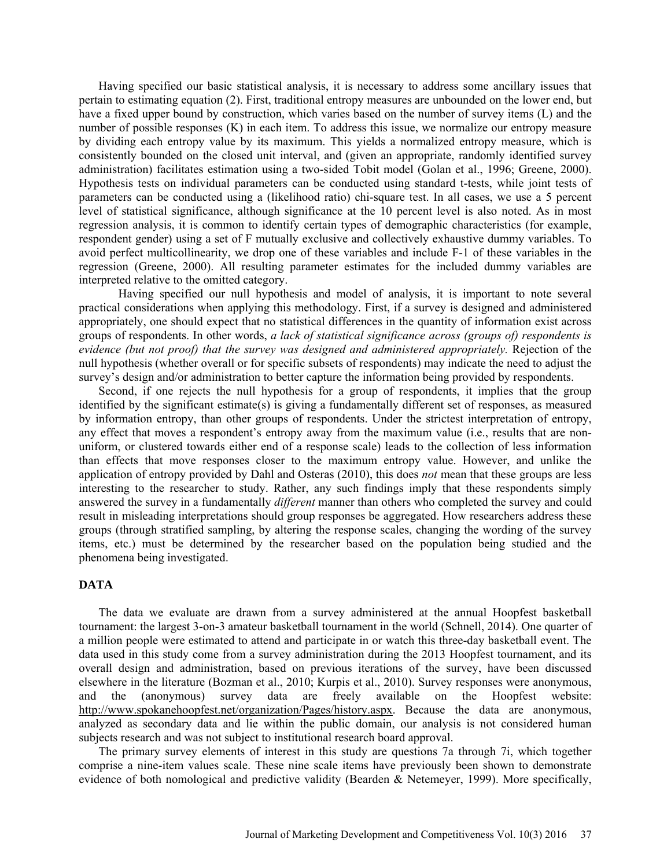Having specified our basic statistical analysis, it is necessary to address some ancillary issues that pertain to estimating equation (2). First, traditional entropy measures are unbounded on the lower end, but have a fixed upper bound by construction, which varies based on the number of survey items (L) and the number of possible responses (K) in each item. To address this issue, we normalize our entropy measure by dividing each entropy value by its maximum. This yields a normalized entropy measure, which is consistently bounded on the closed unit interval, and (given an appropriate, randomly identified survey administration) facilitates estimation using a two-sided Tobit model (Golan et al., 1996; Greene, 2000). Hypothesis tests on individual parameters can be conducted using standard t-tests, while joint tests of parameters can be conducted using a (likelihood ratio) chi-square test. In all cases, we use a 5 percent level of statistical significance, although significance at the 10 percent level is also noted. As in most regression analysis, it is common to identify certain types of demographic characteristics (for example, respondent gender) using a set of F mutually exclusive and collectively exhaustive dummy variables. To avoid perfect multicollinearity, we drop one of these variables and include F-1 of these variables in the regression (Greene, 2000). All resulting parameter estimates for the included dummy variables are interpreted relative to the omitted category.

 Having specified our null hypothesis and model of analysis, it is important to note several practical considerations when applying this methodology. First, if a survey is designed and administered appropriately, one should expect that no statistical differences in the quantity of information exist across groups of respondents. In other words, *a lack of statistical significance across (groups of) respondents is evidence (but not proof) that the survey was designed and administered appropriately.* Rejection of the null hypothesis (whether overall or for specific subsets of respondents) may indicate the need to adjust the survey's design and/or administration to better capture the information being provided by respondents.

Second, if one rejects the null hypothesis for a group of respondents, it implies that the group identified by the significant estimate(s) is giving a fundamentally different set of responses, as measured by information entropy, than other groups of respondents. Under the strictest interpretation of entropy, any effect that moves a respondent's entropy away from the maximum value (i.e., results that are nonuniform, or clustered towards either end of a response scale) leads to the collection of less information than effects that move responses closer to the maximum entropy value. However, and unlike the application of entropy provided by Dahl and Osteras (2010), this does *not* mean that these groups are less interesting to the researcher to study. Rather, any such findings imply that these respondents simply answered the survey in a fundamentally *different* manner than others who completed the survey and could result in misleading interpretations should group responses be aggregated. How researchers address these groups (through stratified sampling, by altering the response scales, changing the wording of the survey items, etc.) must be determined by the researcher based on the population being studied and the phenomena being investigated.

### **DATA**

The data we evaluate are drawn from a survey administered at the annual Hoopfest basketball tournament: the largest 3-on-3 amateur basketball tournament in the world (Schnell, 2014). One quarter of a million people were estimated to attend and participate in or watch this three-day basketball event. The data used in this study come from a survey administration during the 2013 Hoopfest tournament, and its overall design and administration, based on previous iterations of the survey, have been discussed elsewhere in the literature (Bozman et al., 2010; Kurpis et al., 2010). Survey responses were anonymous, and the (anonymous) survey data are freely available on the Hoopfest website: http://www.spokanehoopfest.net/organization/Pages/history.aspx. Because the data are anonymous, analyzed as secondary data and lie within the public domain, our analysis is not considered human subjects research and was not subject to institutional research board approval.

The primary survey elements of interest in this study are questions 7a through 7i, which together comprise a nine-item values scale. These nine scale items have previously been shown to demonstrate evidence of both nomological and predictive validity (Bearden & Netemeyer, 1999). More specifically,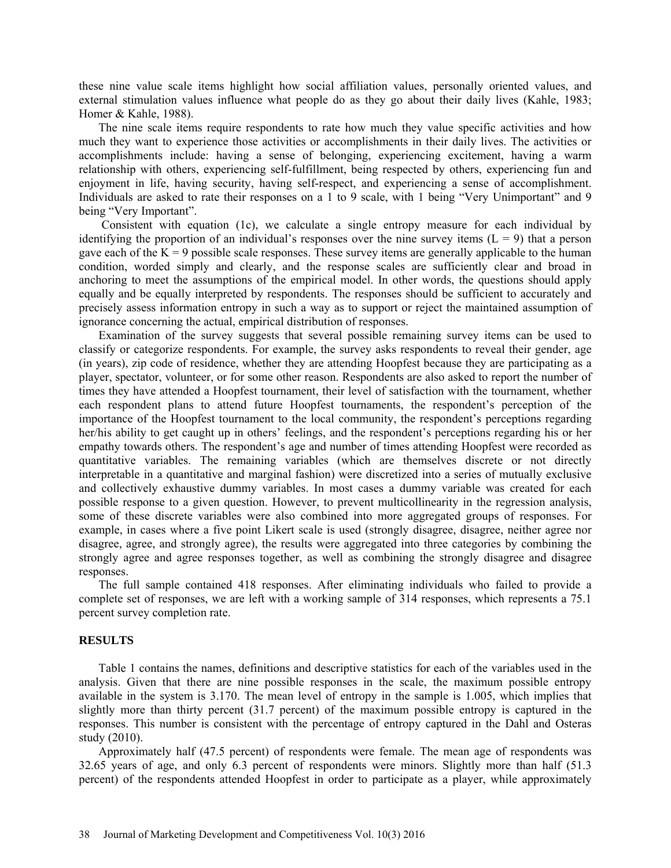these nine value scale items highlight how social affiliation values, personally oriented values, and external stimulation values influence what people do as they go about their daily lives (Kahle, 1983; Homer & Kahle, 1988).

The nine scale items require respondents to rate how much they value specific activities and how much they want to experience those activities or accomplishments in their daily lives. The activities or accomplishments include: having a sense of belonging, experiencing excitement, having a warm relationship with others, experiencing self-fulfillment, being respected by others, experiencing fun and enjoyment in life, having security, having self-respect, and experiencing a sense of accomplishment. Individuals are asked to rate their responses on a 1 to 9 scale, with 1 being "Very Unimportant" and 9 being "Very Important".

 Consistent with equation (1c), we calculate a single entropy measure for each individual by identifying the proportion of an individual's responses over the nine survey items  $(L = 9)$  that a person gave each of the  $K = 9$  possible scale responses. These survey items are generally applicable to the human condition, worded simply and clearly, and the response scales are sufficiently clear and broad in anchoring to meet the assumptions of the empirical model. In other words, the questions should apply equally and be equally interpreted by respondents. The responses should be sufficient to accurately and precisely assess information entropy in such a way as to support or reject the maintained assumption of ignorance concerning the actual, empirical distribution of responses.

Examination of the survey suggests that several possible remaining survey items can be used to classify or categorize respondents. For example, the survey asks respondents to reveal their gender, age (in years), zip code of residence, whether they are attending Hoopfest because they are participating as a player, spectator, volunteer, or for some other reason. Respondents are also asked to report the number of times they have attended a Hoopfest tournament, their level of satisfaction with the tournament, whether each respondent plans to attend future Hoopfest tournaments, the respondent's perception of the importance of the Hoopfest tournament to the local community, the respondent's perceptions regarding her/his ability to get caught up in others' feelings, and the respondent's perceptions regarding his or her empathy towards others. The respondent's age and number of times attending Hoopfest were recorded as quantitative variables. The remaining variables (which are themselves discrete or not directly interpretable in a quantitative and marginal fashion) were discretized into a series of mutually exclusive and collectively exhaustive dummy variables. In most cases a dummy variable was created for each possible response to a given question. However, to prevent multicollinearity in the regression analysis, some of these discrete variables were also combined into more aggregated groups of responses. For example, in cases where a five point Likert scale is used (strongly disagree, disagree, neither agree nor disagree, agree, and strongly agree), the results were aggregated into three categories by combining the strongly agree and agree responses together, as well as combining the strongly disagree and disagree responses.

The full sample contained 418 responses. After eliminating individuals who failed to provide a complete set of responses, we are left with a working sample of 314 responses, which represents a 75.1 percent survey completion rate.

#### **RESULTS**

Table 1 contains the names, definitions and descriptive statistics for each of the variables used in the analysis. Given that there are nine possible responses in the scale, the maximum possible entropy available in the system is 3.170. The mean level of entropy in the sample is 1.005, which implies that slightly more than thirty percent (31.7 percent) of the maximum possible entropy is captured in the responses. This number is consistent with the percentage of entropy captured in the Dahl and Osteras study (2010).

Approximately half (47.5 percent) of respondents were female. The mean age of respondents was 32.65 years of age, and only 6.3 percent of respondents were minors. Slightly more than half (51.3 percent) of the respondents attended Hoopfest in order to participate as a player, while approximately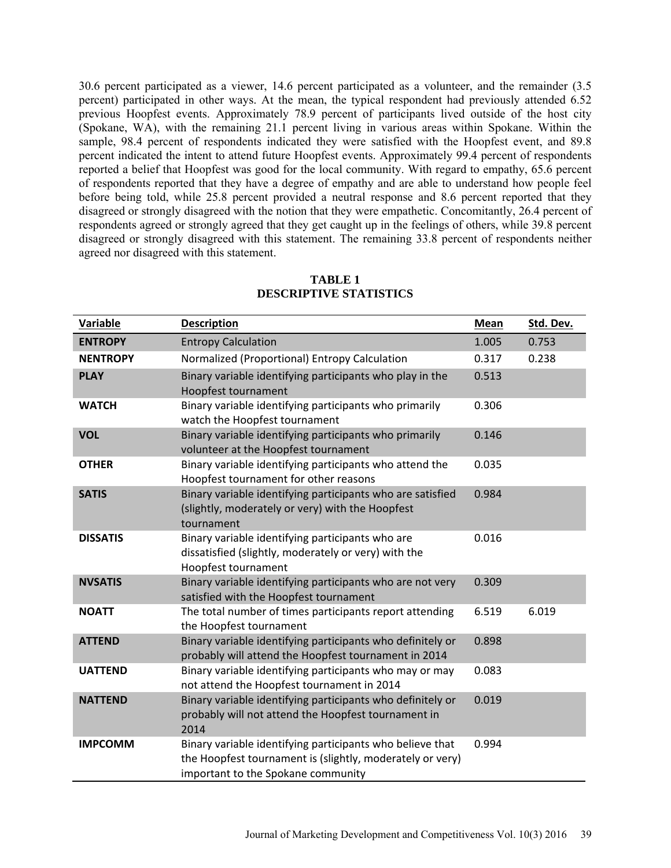30.6 percent participated as a viewer, 14.6 percent participated as a volunteer, and the remainder (3.5 percent) participated in other ways. At the mean, the typical respondent had previously attended 6.52 previous Hoopfest events. Approximately 78.9 percent of participants lived outside of the host city (Spokane, WA), with the remaining 21.1 percent living in various areas within Spokane. Within the sample, 98.4 percent of respondents indicated they were satisfied with the Hoopfest event, and 89.8 percent indicated the intent to attend future Hoopfest events. Approximately 99.4 percent of respondents reported a belief that Hoopfest was good for the local community. With regard to empathy, 65.6 percent of respondents reported that they have a degree of empathy and are able to understand how people feel before being told, while 25.8 percent provided a neutral response and 8.6 percent reported that they disagreed or strongly disagreed with the notion that they were empathetic. Concomitantly, 26.4 percent of respondents agreed or strongly agreed that they get caught up in the feelings of others, while 39.8 percent disagreed or strongly disagreed with this statement. The remaining 33.8 percent of respondents neither agreed nor disagreed with this statement.

| <b>Variable</b> | <b>Description</b>                                                                                                                                           | <b>Mean</b> | Std. Dev. |
|-----------------|--------------------------------------------------------------------------------------------------------------------------------------------------------------|-------------|-----------|
| <b>ENTROPY</b>  | <b>Entropy Calculation</b>                                                                                                                                   | 1.005       | 0.753     |
| <b>NENTROPY</b> | Normalized (Proportional) Entropy Calculation                                                                                                                | 0.317       | 0.238     |
| <b>PLAY</b>     | Binary variable identifying participants who play in the<br>Hoopfest tournament                                                                              | 0.513       |           |
| <b>WATCH</b>    | Binary variable identifying participants who primarily<br>watch the Hoopfest tournament                                                                      | 0.306       |           |
| <b>VOL</b>      | Binary variable identifying participants who primarily<br>volunteer at the Hoopfest tournament                                                               | 0.146       |           |
| <b>OTHER</b>    | Binary variable identifying participants who attend the<br>Hoopfest tournament for other reasons                                                             | 0.035       |           |
| <b>SATIS</b>    | Binary variable identifying participants who are satisfied<br>(slightly, moderately or very) with the Hoopfest<br>tournament                                 | 0.984       |           |
| <b>DISSATIS</b> | Binary variable identifying participants who are<br>dissatisfied (slightly, moderately or very) with the<br>Hoopfest tournament                              | 0.016       |           |
| <b>NVSATIS</b>  | Binary variable identifying participants who are not very<br>satisfied with the Hoopfest tournament                                                          | 0.309       |           |
| <b>NOATT</b>    | The total number of times participants report attending<br>the Hoopfest tournament                                                                           | 6.519       | 6.019     |
| <b>ATTEND</b>   | Binary variable identifying participants who definitely or<br>probably will attend the Hoopfest tournament in 2014                                           | 0.898       |           |
| <b>UATTEND</b>  | Binary variable identifying participants who may or may<br>not attend the Hoopfest tournament in 2014                                                        | 0.083       |           |
| <b>NATTEND</b>  | Binary variable identifying participants who definitely or<br>probably will not attend the Hoopfest tournament in<br>2014                                    | 0.019       |           |
| <b>IMPCOMM</b>  | Binary variable identifying participants who believe that<br>the Hoopfest tournament is (slightly, moderately or very)<br>important to the Spokane community | 0.994       |           |

### **TABLE 1 DESCRIPTIVE STATISTICS**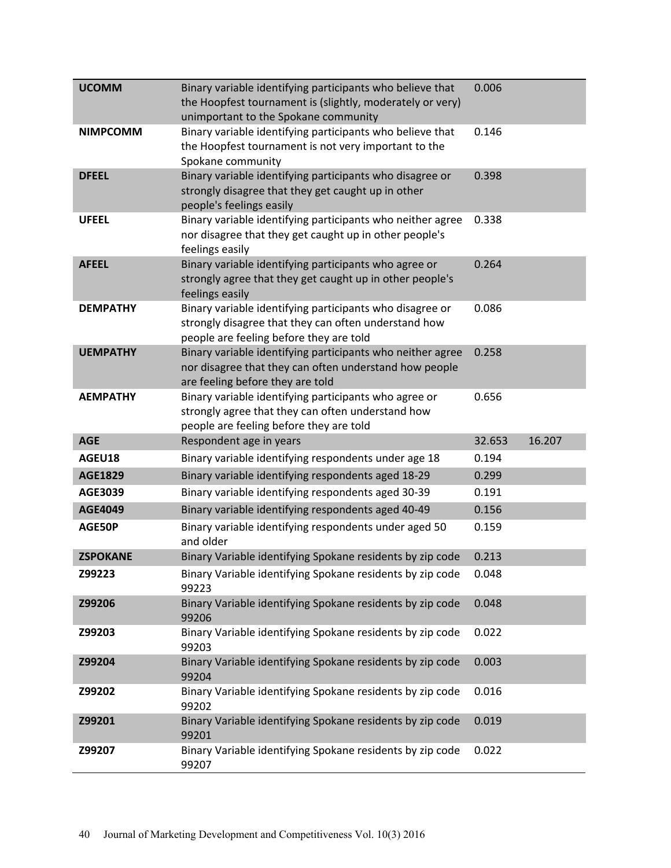| <b>UCOMM</b>    | Binary variable identifying participants who believe that<br>the Hoopfest tournament is (slightly, moderately or very)<br>unimportant to the Spokane community | 0.006  |        |
|-----------------|----------------------------------------------------------------------------------------------------------------------------------------------------------------|--------|--------|
| <b>NIMPCOMM</b> | Binary variable identifying participants who believe that<br>the Hoopfest tournament is not very important to the<br>Spokane community                         | 0.146  |        |
| <b>DFEEL</b>    | Binary variable identifying participants who disagree or<br>strongly disagree that they get caught up in other<br>people's feelings easily                     | 0.398  |        |
| <b>UFEEL</b>    | Binary variable identifying participants who neither agree<br>nor disagree that they get caught up in other people's<br>feelings easily                        | 0.338  |        |
| <b>AFEEL</b>    | Binary variable identifying participants who agree or<br>strongly agree that they get caught up in other people's<br>feelings easily                           | 0.264  |        |
| <b>DEMPATHY</b> | Binary variable identifying participants who disagree or<br>strongly disagree that they can often understand how<br>people are feeling before they are told    | 0.086  |        |
| <b>UEMPATHY</b> | Binary variable identifying participants who neither agree<br>nor disagree that they can often understand how people<br>are feeling before they are told       | 0.258  |        |
| <b>AEMPATHY</b> | Binary variable identifying participants who agree or<br>strongly agree that they can often understand how<br>people are feeling before they are told          | 0.656  |        |
| <b>AGE</b>      | Respondent age in years                                                                                                                                        | 32.653 | 16.207 |
| AGEU18          | Binary variable identifying respondents under age 18                                                                                                           | 0.194  |        |
| <b>AGE1829</b>  | Binary variable identifying respondents aged 18-29                                                                                                             | 0.299  |        |
| AGE3039         | Binary variable identifying respondents aged 30-39                                                                                                             | 0.191  |        |
| <b>AGE4049</b>  | Binary variable identifying respondents aged 40-49                                                                                                             | 0.156  |        |
| AGE50P          | Binary variable identifying respondents under aged 50<br>and older                                                                                             | 0.159  |        |
| <b>ZSPOKANE</b> | Binary Variable identifying Spokane residents by zip code                                                                                                      | 0.213  |        |
| Z99223          | Binary Variable identifying Spokane residents by zip code<br>99223                                                                                             | 0.048  |        |
| Z99206          | Binary Variable identifying Spokane residents by zip code<br>99206                                                                                             | 0.048  |        |
| Z99203          | Binary Variable identifying Spokane residents by zip code<br>99203                                                                                             | 0.022  |        |
| Z99204          | Binary Variable identifying Spokane residents by zip code<br>99204                                                                                             | 0.003  |        |
| Z99202          | Binary Variable identifying Spokane residents by zip code<br>99202                                                                                             | 0.016  |        |
| Z99201          | Binary Variable identifying Spokane residents by zip code<br>99201                                                                                             | 0.019  |        |
| Z99207          | Binary Variable identifying Spokane residents by zip code<br>99207                                                                                             | 0.022  |        |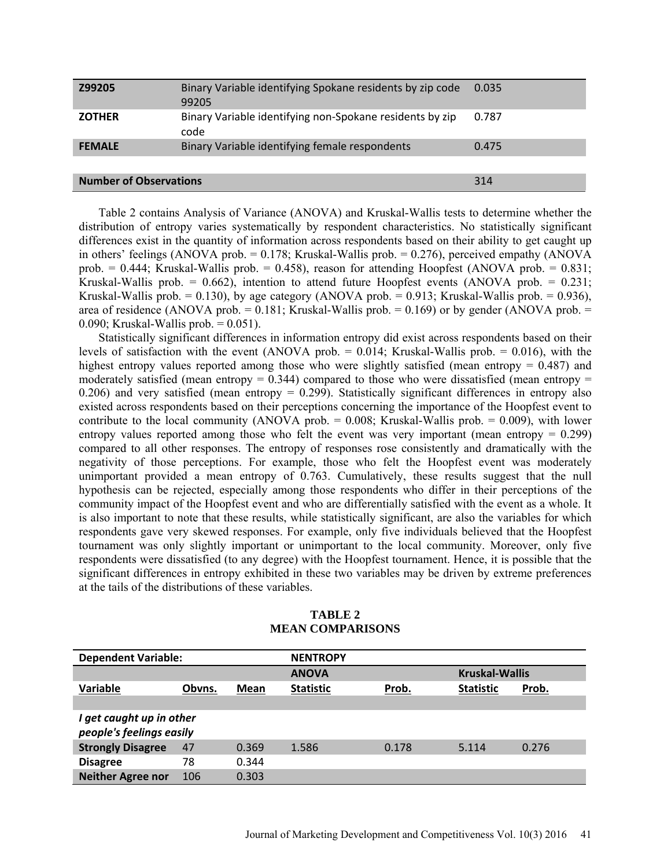| Z99205                        | Binary Variable identifying Spokane residents by zip code<br>99205 | 0.035 |
|-------------------------------|--------------------------------------------------------------------|-------|
| <b>ZOTHER</b>                 | Binary Variable identifying non-Spokane residents by zip<br>code   | 0.787 |
| <b>FEMALE</b>                 | Binary Variable identifying female respondents                     | 0.475 |
|                               |                                                                    |       |
| <b>Number of Observations</b> | 314                                                                |       |

Table 2 contains Analysis of Variance (ANOVA) and Kruskal-Wallis tests to determine whether the distribution of entropy varies systematically by respondent characteristics. No statistically significant differences exist in the quantity of information across respondents based on their ability to get caught up in others' feelings (ANOVA prob. =  $0.178$ ; Kruskal-Wallis prob. =  $0.276$ ), perceived empathy (ANOVA prob.  $= 0.444$ ; Kruskal-Wallis prob.  $= 0.458$ ), reason for attending Hoopfest (ANOVA prob.  $= 0.831$ ; Kruskal-Wallis prob. =  $0.662$ ), intention to attend future Hoopfest events (ANOVA prob. =  $0.231$ ; Kruskal-Wallis prob.  $= 0.130$ ), by age category (ANOVA prob.  $= 0.913$ ; Kruskal-Wallis prob.  $= 0.936$ ), area of residence (ANOVA prob.  $= 0.181$ ; Kruskal-Wallis prob.  $= 0.169$ ) or by gender (ANOVA prob.  $=$ 0.090; Kruskal-Wallis prob.  $= 0.051$ ).

Statistically significant differences in information entropy did exist across respondents based on their levels of satisfaction with the event (ANOVA prob.  $= 0.014$ ; Kruskal-Wallis prob.  $= 0.016$ ), with the highest entropy values reported among those who were slightly satisfied (mean entropy  $= 0.487$ ) and moderately satisfied (mean entropy  $= 0.344$ ) compared to those who were dissatisfied (mean entropy  $=$ 0.206) and very satisfied (mean entropy  $= 0.299$ ). Statistically significant differences in entropy also existed across respondents based on their perceptions concerning the importance of the Hoopfest event to contribute to the local community (ANOVA prob.  $= 0.008$ ; Kruskal-Wallis prob.  $= 0.009$ ), with lower entropy values reported among those who felt the event was very important (mean entropy  $= 0.299$ ) compared to all other responses. The entropy of responses rose consistently and dramatically with the negativity of those perceptions. For example, those who felt the Hoopfest event was moderately unimportant provided a mean entropy of 0.763. Cumulatively, these results suggest that the null hypothesis can be rejected, especially among those respondents who differ in their perceptions of the community impact of the Hoopfest event and who are differentially satisfied with the event as a whole. It is also important to note that these results, while statistically significant, are also the variables for which respondents gave very skewed responses. For example, only five individuals believed that the Hoopfest tournament was only slightly important or unimportant to the local community. Moreover, only five respondents were dissatisfied (to any degree) with the Hoopfest tournament. Hence, it is possible that the significant differences in entropy exhibited in these two variables may be driven by extreme preferences at the tails of the distributions of these variables.

| <b>Dependent Variable:</b>                           |        |       | <b>NENTROPY</b>  |       |                       |       |  |
|------------------------------------------------------|--------|-------|------------------|-------|-----------------------|-------|--|
|                                                      |        |       | <b>ANOVA</b>     |       | <b>Kruskal-Wallis</b> |       |  |
| <b>Variable</b>                                      | Obvns. | Mean  | <b>Statistic</b> | Prob. | <b>Statistic</b>      | Prob. |  |
|                                                      |        |       |                  |       |                       |       |  |
| I get caught up in other<br>people's feelings easily |        |       |                  |       |                       |       |  |
| <b>Strongly Disagree</b>                             | 47     | 0.369 | 1.586            | 0.178 | 5.114                 | 0.276 |  |
| <b>Disagree</b>                                      | 78     | 0.344 |                  |       |                       |       |  |
| <b>Neither Agree nor</b>                             | 106    | 0.303 |                  |       |                       |       |  |

**TABLE 2 MEAN COMPARISONS**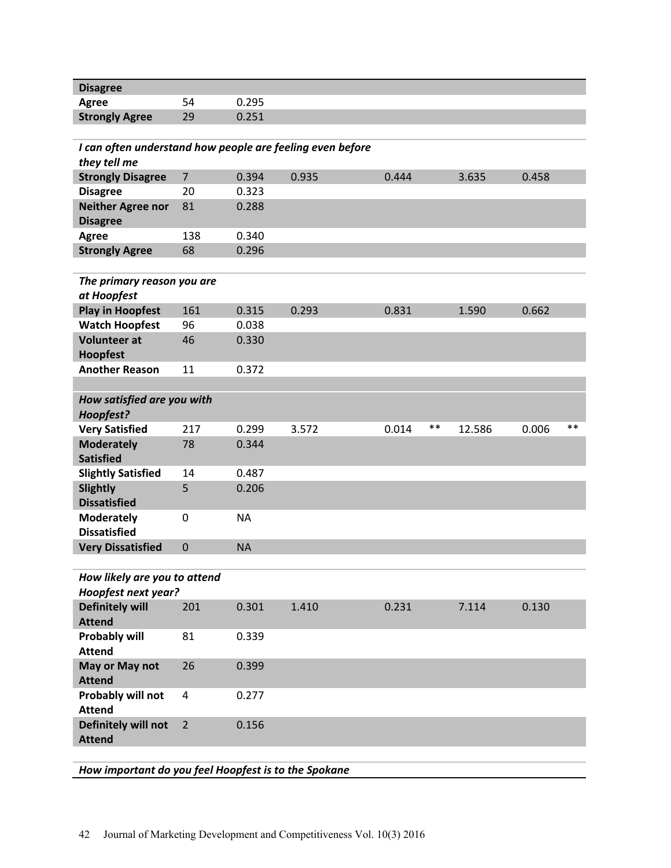| <b>Disagree</b>                                           |                |           |       |                |        |                |
|-----------------------------------------------------------|----------------|-----------|-------|----------------|--------|----------------|
| <b>Agree</b>                                              | 54             | 0.295     |       |                |        |                |
| <b>Strongly Agree</b>                                     | 29             | 0.251     |       |                |        |                |
|                                                           |                |           |       |                |        |                |
| I can often understand how people are feeling even before |                |           |       |                |        |                |
| they tell me                                              |                |           |       |                |        |                |
| <b>Strongly Disagree</b>                                  | $\overline{7}$ | 0.394     | 0.935 | 0.444          | 3.635  | 0.458          |
| <b>Disagree</b>                                           | 20             | 0.323     |       |                |        |                |
| <b>Neither Agree nor</b>                                  | 81             | 0.288     |       |                |        |                |
| <b>Disagree</b>                                           |                |           |       |                |        |                |
| <b>Agree</b>                                              | 138            | 0.340     |       |                |        |                |
| <b>Strongly Agree</b>                                     | 68             | 0.296     |       |                |        |                |
|                                                           |                |           |       |                |        |                |
| The primary reason you are                                |                |           |       |                |        |                |
| at Hoopfest                                               |                |           |       |                |        |                |
| <b>Play in Hoopfest</b>                                   | 161            | 0.315     | 0.293 | 0.831          | 1.590  | 0.662          |
| <b>Watch Hoopfest</b>                                     | 96             | 0.038     |       |                |        |                |
| <b>Volunteer at</b>                                       | 46             | 0.330     |       |                |        |                |
| <b>Hoopfest</b>                                           |                |           |       |                |        |                |
| <b>Another Reason</b>                                     | 11             | 0.372     |       |                |        |                |
|                                                           |                |           |       |                |        |                |
| How satisfied are you with                                |                |           |       |                |        |                |
| Hoopfest?                                                 |                |           |       |                |        |                |
| <b>Very Satisfied</b>                                     | 217            | 0.299     | 3.572 | $***$<br>0.014 | 12.586 | $***$<br>0.006 |
| <b>Moderately</b>                                         | 78             | 0.344     |       |                |        |                |
| <b>Satisfied</b>                                          |                |           |       |                |        |                |
| <b>Slightly Satisfied</b>                                 | 14             | 0.487     |       |                |        |                |
| <b>Slightly</b>                                           | 5              | 0.206     |       |                |        |                |
| <b>Dissatisfied</b>                                       |                |           |       |                |        |                |
| <b>Moderately</b><br><b>Dissatisfied</b>                  | 0              | <b>NA</b> |       |                |        |                |
| <b>Very Dissatisfied</b>                                  | $\mathbf 0$    | <b>NA</b> |       |                |        |                |
|                                                           |                |           |       |                |        |                |
| How likely are you to attend                              |                |           |       |                |        |                |
| Hoopfest next year?                                       |                |           |       |                |        |                |
| <b>Definitely will</b>                                    | 201            | 0.301     | 1.410 | 0.231          | 7.114  | 0.130          |
| <b>Attend</b>                                             |                |           |       |                |        |                |
| <b>Probably will</b>                                      | 81             | 0.339     |       |                |        |                |
| <b>Attend</b>                                             |                |           |       |                |        |                |
| May or May not                                            | 26             | 0.399     |       |                |        |                |
| <b>Attend</b>                                             |                |           |       |                |        |                |
| Probably will not                                         | 4              | 0.277     |       |                |        |                |
| <b>Attend</b>                                             |                |           |       |                |        |                |
| Definitely will not                                       | $\overline{2}$ | 0.156     |       |                |        |                |
| <b>Attend</b>                                             |                |           |       |                |        |                |
|                                                           |                |           |       |                |        |                |
|                                                           |                |           |       |                |        |                |

*How important do you feel Hoopfest is to the Spokane*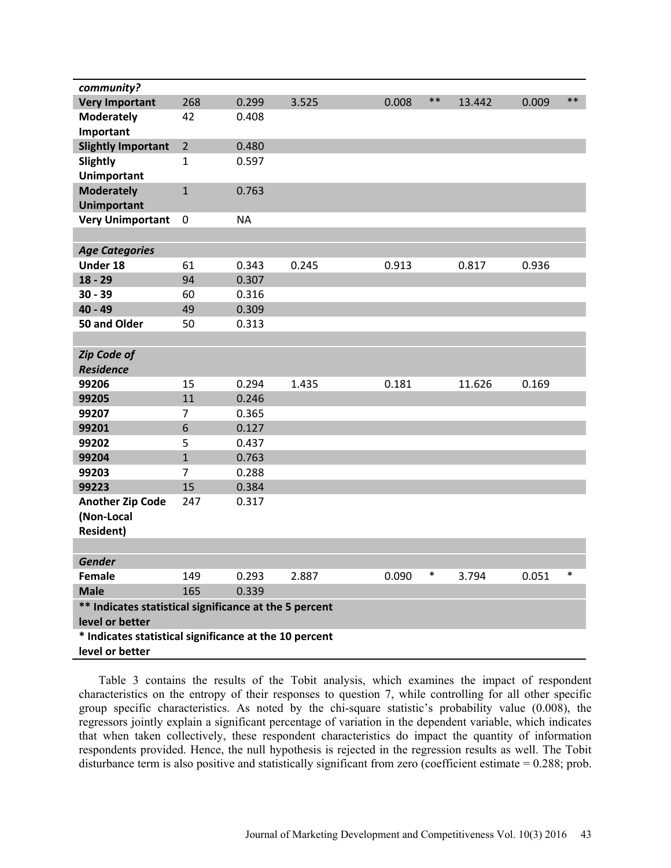| community?                                             |                |           |       |       |        |        |       |        |
|--------------------------------------------------------|----------------|-----------|-------|-------|--------|--------|-------|--------|
| <b>Very Important</b>                                  | 268            | 0.299     | 3.525 | 0.008 | $***$  | 13.442 | 0.009 | $***$  |
| <b>Moderately</b>                                      | 42             | 0.408     |       |       |        |        |       |        |
| Important                                              |                |           |       |       |        |        |       |        |
| <b>Slightly Important</b>                              | $\overline{2}$ | 0.480     |       |       |        |        |       |        |
| Slightly                                               | 1              | 0.597     |       |       |        |        |       |        |
| <b>Unimportant</b>                                     |                |           |       |       |        |        |       |        |
| <b>Moderately</b>                                      | $\mathbf{1}$   | 0.763     |       |       |        |        |       |        |
| <b>Unimportant</b>                                     |                |           |       |       |        |        |       |        |
| <b>Very Unimportant</b>                                | $\mathbf 0$    | <b>NA</b> |       |       |        |        |       |        |
|                                                        |                |           |       |       |        |        |       |        |
| <b>Age Categories</b>                                  |                |           |       |       |        |        |       |        |
| Under 18                                               | 61             | 0.343     | 0.245 | 0.913 |        | 0.817  | 0.936 |        |
| $18 - 29$                                              | 94             | 0.307     |       |       |        |        |       |        |
| $30 - 39$                                              | 60             | 0.316     |       |       |        |        |       |        |
| 40 - 49                                                | 49             | 0.309     |       |       |        |        |       |        |
| 50 and Older                                           | 50             | 0.313     |       |       |        |        |       |        |
|                                                        |                |           |       |       |        |        |       |        |
| <b>Zip Code of</b>                                     |                |           |       |       |        |        |       |        |
| <b>Residence</b>                                       |                |           |       |       |        |        |       |        |
| 99206                                                  | 15             | 0.294     | 1.435 | 0.181 |        | 11.626 | 0.169 |        |
| 99205                                                  | 11             | 0.246     |       |       |        |        |       |        |
| 99207                                                  | $\overline{7}$ | 0.365     |       |       |        |        |       |        |
| 99201                                                  | 6              | 0.127     |       |       |        |        |       |        |
| 99202                                                  | 5              | 0.437     |       |       |        |        |       |        |
| 99204                                                  | $\overline{1}$ | 0.763     |       |       |        |        |       |        |
| 99203                                                  | 7              | 0.288     |       |       |        |        |       |        |
| 99223                                                  | 15             | 0.384     |       |       |        |        |       |        |
| <b>Another Zip Code</b>                                | 247            | 0.317     |       |       |        |        |       |        |
| (Non-Local                                             |                |           |       |       |        |        |       |        |
| <b>Resident)</b>                                       |                |           |       |       |        |        |       |        |
|                                                        |                |           |       |       |        |        |       |        |
| Gender                                                 |                |           |       |       |        |        |       |        |
| Female                                                 | 149            | 0.293     | 2.887 | 0.090 | $\ast$ | 3.794  | 0.051 | $\ast$ |
| <b>Male</b>                                            | 165            | 0.339     |       |       |        |        |       |        |
| ** Indicates statistical significance at the 5 percent |                |           |       |       |        |        |       |        |
| level or better                                        |                |           |       |       |        |        |       |        |
| * Indicates statistical significance at the 10 percent |                |           |       |       |        |        |       |        |
| level or better                                        |                |           |       |       |        |        |       |        |

Table 3 contains the results of the Tobit analysis, which examines the impact of respondent characteristics on the entropy of their responses to question 7, while controlling for all other specific group specific characteristics. As noted by the chi-square statistic's probability value (0.008), the regressors jointly explain a significant percentage of variation in the dependent variable, which indicates that when taken collectively, these respondent characteristics do impact the quantity of information respondents provided. Hence, the null hypothesis is rejected in the regression results as well. The Tobit disturbance term is also positive and statistically significant from zero (coefficient estimate = 0.288; prob.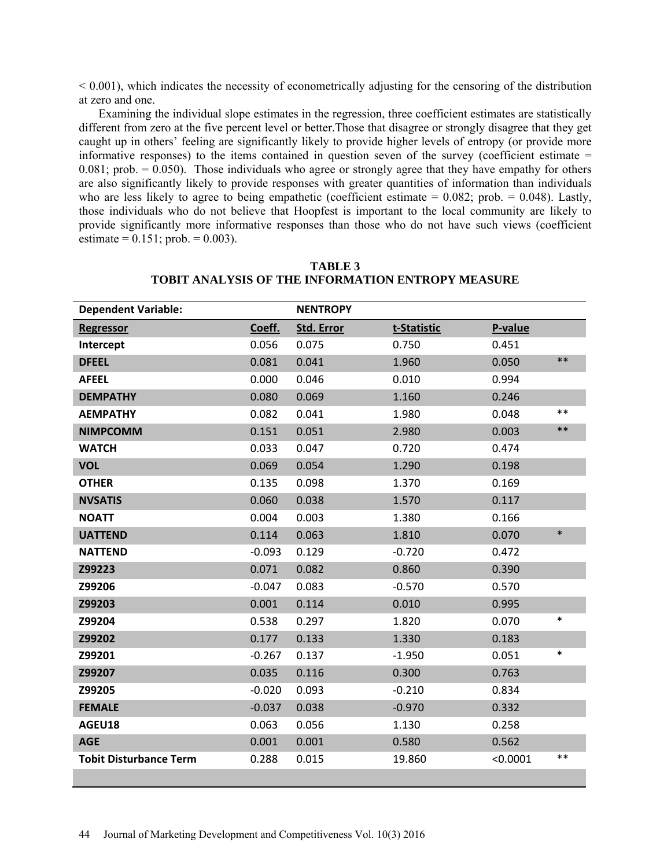$< 0.001$ ), which indicates the necessity of econometrically adjusting for the censoring of the distribution at zero and one.

Examining the individual slope estimates in the regression, three coefficient estimates are statistically different from zero at the five percent level or better.Those that disagree or strongly disagree that they get caught up in others' feeling are significantly likely to provide higher levels of entropy (or provide more informative responses) to the items contained in question seven of the survey (coefficient estimate = 0.081; prob.  $= 0.050$ ). Those individuals who agree or strongly agree that they have empathy for others are also significantly likely to provide responses with greater quantities of information than individuals who are less likely to agree to being empathetic (coefficient estimate  $= 0.082$ ; prob.  $= 0.048$ ). Lastly, those individuals who do not believe that Hoopfest is important to the local community are likely to provide significantly more informative responses than those who do not have such views (coefficient estimate =  $0.151$ ; prob. =  $0.003$ ).

| <b>Dependent Variable:</b>    |          | <b>NENTROPY</b>   |             |          |        |
|-------------------------------|----------|-------------------|-------------|----------|--------|
| <b>Regressor</b>              | Coeff.   | <b>Std. Error</b> | t-Statistic | P-value  |        |
| Intercept                     | 0.056    | 0.075             | 0.750       | 0.451    |        |
| <b>DFEEL</b>                  | 0.081    | 0.041             | 1.960       | 0.050    | $***$  |
| <b>AFEEL</b>                  | 0.000    | 0.046             | 0.010       | 0.994    |        |
| <b>DEMPATHY</b>               | 0.080    | 0.069             | 1.160       | 0.246    |        |
| <b>AEMPATHY</b>               | 0.082    | 0.041             | 1.980       | 0.048    | $***$  |
| <b>NIMPCOMM</b>               | 0.151    | 0.051             | 2.980       | 0.003    | $***$  |
| <b>WATCH</b>                  | 0.033    | 0.047             | 0.720       | 0.474    |        |
| <b>VOL</b>                    | 0.069    | 0.054             | 1.290       | 0.198    |        |
| <b>OTHER</b>                  | 0.135    | 0.098             | 1.370       | 0.169    |        |
| <b>NVSATIS</b>                | 0.060    | 0.038             | 1.570       | 0.117    |        |
| <b>NOATT</b>                  | 0.004    | 0.003             | 1.380       | 0.166    |        |
| <b>UATTEND</b>                | 0.114    | 0.063             | 1.810       | 0.070    | $\ast$ |
| <b>NATTEND</b>                | $-0.093$ | 0.129             | $-0.720$    | 0.472    |        |
| Z99223                        | 0.071    | 0.082             | 0.860       | 0.390    |        |
| Z99206                        | $-0.047$ | 0.083             | $-0.570$    | 0.570    |        |
| Z99203                        | 0.001    | 0.114             | 0.010       | 0.995    |        |
| Z99204                        | 0.538    | 0.297             | 1.820       | 0.070    | $\ast$ |
| Z99202                        | 0.177    | 0.133             | 1.330       | 0.183    |        |
| Z99201                        | $-0.267$ | 0.137             | $-1.950$    | 0.051    | $\ast$ |
| Z99207                        | 0.035    | 0.116             | 0.300       | 0.763    |        |
| Z99205                        | $-0.020$ | 0.093             | $-0.210$    | 0.834    |        |
| <b>FEMALE</b>                 | $-0.037$ | 0.038             | $-0.970$    | 0.332    |        |
| AGEU18                        | 0.063    | 0.056             | 1.130       | 0.258    |        |
| <b>AGE</b>                    | 0.001    | 0.001             | 0.580       | 0.562    |        |
| <b>Tobit Disturbance Term</b> | 0.288    | 0.015             | 19.860      | < 0.0001 | $***$  |
|                               |          |                   |             |          |        |

**TABLE 3 TOBIT ANALYSIS OF THE INFORMATION ENTROPY MEASURE**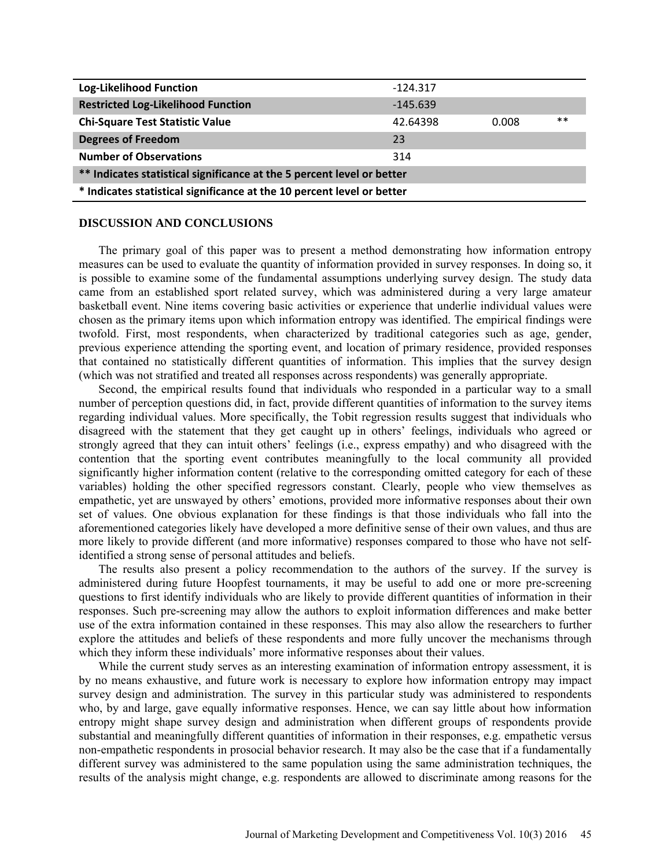| Log-Likelihood Function                                                | $-124.317$ |       |       |  |  |  |  |
|------------------------------------------------------------------------|------------|-------|-------|--|--|--|--|
| <b>Restricted Log-Likelihood Function</b>                              | $-145.639$ |       |       |  |  |  |  |
| <b>Chi-Square Test Statistic Value</b>                                 | 42.64398   | 0.008 | $***$ |  |  |  |  |
| <b>Degrees of Freedom</b>                                              | 23         |       |       |  |  |  |  |
| <b>Number of Observations</b>                                          | 314        |       |       |  |  |  |  |
| ** Indicates statistical significance at the 5 percent level or better |            |       |       |  |  |  |  |
| * Indicates statistical significance at the 10 percent level or better |            |       |       |  |  |  |  |

#### **DISCUSSION AND CONCLUSIONS**

The primary goal of this paper was to present a method demonstrating how information entropy measures can be used to evaluate the quantity of information provided in survey responses. In doing so, it is possible to examine some of the fundamental assumptions underlying survey design. The study data came from an established sport related survey, which was administered during a very large amateur basketball event. Nine items covering basic activities or experience that underlie individual values were chosen as the primary items upon which information entropy was identified. The empirical findings were twofold. First, most respondents, when characterized by traditional categories such as age, gender, previous experience attending the sporting event, and location of primary residence, provided responses that contained no statistically different quantities of information. This implies that the survey design (which was not stratified and treated all responses across respondents) was generally appropriate.

Second, the empirical results found that individuals who responded in a particular way to a small number of perception questions did, in fact, provide different quantities of information to the survey items regarding individual values. More specifically, the Tobit regression results suggest that individuals who disagreed with the statement that they get caught up in others' feelings, individuals who agreed or strongly agreed that they can intuit others' feelings (i.e., express empathy) and who disagreed with the contention that the sporting event contributes meaningfully to the local community all provided significantly higher information content (relative to the corresponding omitted category for each of these variables) holding the other specified regressors constant. Clearly, people who view themselves as empathetic, yet are unswayed by others' emotions, provided more informative responses about their own set of values. One obvious explanation for these findings is that those individuals who fall into the aforementioned categories likely have developed a more definitive sense of their own values, and thus are more likely to provide different (and more informative) responses compared to those who have not selfidentified a strong sense of personal attitudes and beliefs.

The results also present a policy recommendation to the authors of the survey. If the survey is administered during future Hoopfest tournaments, it may be useful to add one or more pre-screening questions to first identify individuals who are likely to provide different quantities of information in their responses. Such pre-screening may allow the authors to exploit information differences and make better use of the extra information contained in these responses. This may also allow the researchers to further explore the attitudes and beliefs of these respondents and more fully uncover the mechanisms through which they inform these individuals' more informative responses about their values.

While the current study serves as an interesting examination of information entropy assessment, it is by no means exhaustive, and future work is necessary to explore how information entropy may impact survey design and administration. The survey in this particular study was administered to respondents who, by and large, gave equally informative responses. Hence, we can say little about how information entropy might shape survey design and administration when different groups of respondents provide substantial and meaningfully different quantities of information in their responses, e.g. empathetic versus non-empathetic respondents in prosocial behavior research. It may also be the case that if a fundamentally different survey was administered to the same population using the same administration techniques, the results of the analysis might change, e.g. respondents are allowed to discriminate among reasons for the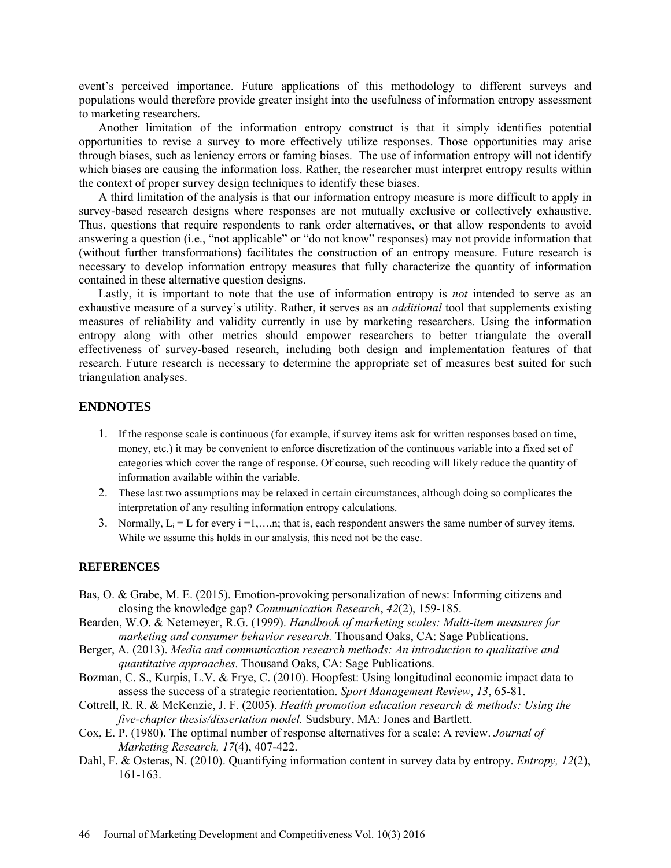event's perceived importance. Future applications of this methodology to different surveys and populations would therefore provide greater insight into the usefulness of information entropy assessment to marketing researchers.

Another limitation of the information entropy construct is that it simply identifies potential opportunities to revise a survey to more effectively utilize responses. Those opportunities may arise through biases, such as leniency errors or faming biases. The use of information entropy will not identify which biases are causing the information loss. Rather, the researcher must interpret entropy results within the context of proper survey design techniques to identify these biases.

A third limitation of the analysis is that our information entropy measure is more difficult to apply in survey-based research designs where responses are not mutually exclusive or collectively exhaustive. Thus, questions that require respondents to rank order alternatives, or that allow respondents to avoid answering a question (i.e., "not applicable" or "do not know" responses) may not provide information that (without further transformations) facilitates the construction of an entropy measure. Future research is necessary to develop information entropy measures that fully characterize the quantity of information contained in these alternative question designs.

Lastly, it is important to note that the use of information entropy is *not* intended to serve as an exhaustive measure of a survey's utility. Rather, it serves as an *additional* tool that supplements existing measures of reliability and validity currently in use by marketing researchers. Using the information entropy along with other metrics should empower researchers to better triangulate the overall effectiveness of survey-based research, including both design and implementation features of that research. Future research is necessary to determine the appropriate set of measures best suited for such triangulation analyses.

### **ENDNOTES**

- 1. If the response scale is continuous (for example, if survey items ask for written responses based on time, money, etc.) it may be convenient to enforce discretization of the continuous variable into a fixed set of categories which cover the range of response. Of course, such recoding will likely reduce the quantity of information available within the variable.
- 2. These last two assumptions may be relaxed in certain circumstances, although doing so complicates the interpretation of any resulting information entropy calculations.
- 3. Normally,  $L_i = L$  for every  $i = 1, \ldots, n$ ; that is, each respondent answers the same number of survey items. While we assume this holds in our analysis, this need not be the case.

#### **REFERENCES**

- Bas, O. & Grabe, M. E. (2015). Emotion-provoking personalization of news: Informing citizens and closing the knowledge gap? *Communication Research*, *42*(2), 159-185.
- Bearden, W.O. & Netemeyer, R.G. (1999). *Handbook of marketing scales: Multi-item measures for marketing and consumer behavior research.* Thousand Oaks, CA: Sage Publications.
- Berger, A. (2013). *Media and communication research methods: An introduction to qualitative and quantitative approaches*. Thousand Oaks, CA: Sage Publications.
- Bozman, C. S., Kurpis, L.V. & Frye, C. (2010). Hoopfest: Using longitudinal economic impact data to assess the success of a strategic reorientation. *Sport Management Review*, *13*, 65-81.
- Cottrell, R. R. & McKenzie, J. F. (2005). *Health promotion education research & methods: Using the five-chapter thesis/dissertation model.* Sudsbury, MA: Jones and Bartlett.
- Cox, E. P. (1980). The optimal number of response alternatives for a scale: A review. *Journal of Marketing Research, 17*(4), 407-422.
- Dahl, F. & Osteras, N. (2010). Quantifying information content in survey data by entropy. *Entropy, 12*(2), 161-163.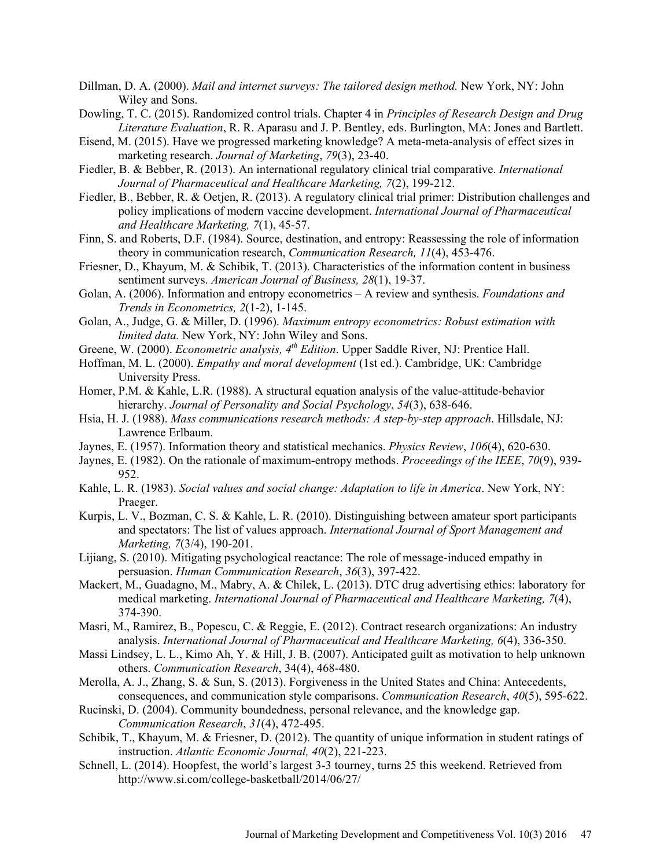- Dillman, D. A. (2000). *Mail and internet surveys: The tailored design method.* New York, NY: John Wiley and Sons.
- Dowling, T. C. (2015). Randomized control trials. Chapter 4 in *Principles of Research Design and Drug Literature Evaluation*, R. R. Aparasu and J. P. Bentley, eds. Burlington, MA: Jones and Bartlett.
- Eisend, M. (2015). Have we progressed marketing knowledge? A meta-meta-analysis of effect sizes in marketing research. *Journal of Marketing*, *79*(3), 23-40.
- Fiedler, B. & Bebber, R. (2013). An international regulatory clinical trial comparative. *International Journal of Pharmaceutical and Healthcare Marketing, 7*(2), 199-212.
- Fiedler, B., Bebber, R. & Oetjen, R. (2013). A regulatory clinical trial primer: Distribution challenges and policy implications of modern vaccine development. *International Journal of Pharmaceutical and Healthcare Marketing, 7*(1), 45-57.
- Finn, S. and Roberts, D.F. (1984). Source, destination, and entropy: Reassessing the role of information theory in communication research, *Communication Research, 11*(4), 453-476.
- Friesner, D., Khayum, M. & Schibik, T. (2013). Characteristics of the information content in business sentiment surveys. *American Journal of Business, 28*(1), 19-37.
- Golan, A. (2006). Information and entropy econometrics A review and synthesis. *Foundations and Trends in Econometrics, 2*(1-2), 1-145.
- Golan, A., Judge, G. & Miller, D. (1996). *Maximum entropy econometrics: Robust estimation with limited data.* New York, NY: John Wiley and Sons.
- Greene, W. (2000). *Econometric analysis, 4<sup>th</sup> Edition*. Upper Saddle River, NJ: Prentice Hall.
- Hoffman, M. L. (2000). *Empathy and moral development* (1st ed.). Cambridge, UK: Cambridge University Press.
- Homer, P.M. & Kahle, L.R. (1988). A structural equation analysis of the value-attitude-behavior hierarchy. *Journal of Personality and Social Psychology*, *54*(3), 638-646.
- Hsia, H. J. (1988). *Mass communications research methods: A step-by-step approach*. Hillsdale, NJ: Lawrence Erlbaum.
- Jaynes, E. (1957). Information theory and statistical mechanics. *Physics Review*, *106*(4), 620-630.
- Jaynes, E. (1982). On the rationale of maximum-entropy methods. *Proceedings of the IEEE*, *70*(9), 939- 952.
- Kahle, L. R. (1983). *Social values and social change: Adaptation to life in America*. New York, NY: Praeger.
- Kurpis, L. V., Bozman, C. S. & Kahle, L. R. (2010). Distinguishing between amateur sport participants and spectators: The list of values approach. *International Journal of Sport Management and Marketing, 7*(3/4), 190-201.
- Lijiang, S. (2010). Mitigating psychological reactance: The role of message-induced empathy in persuasion. *Human Communication Research*, *36*(3), 397-422.
- Mackert, M., Guadagno, M., Mabry, A. & Chilek, L. (2013). DTC drug advertising ethics: laboratory for medical marketing. *International Journal of Pharmaceutical and Healthcare Marketing, 7*(4), 374-390.
- Masri, M., Ramirez, B., Popescu, C. & Reggie, E. (2012). Contract research organizations: An industry analysis. *International Journal of Pharmaceutical and Healthcare Marketing, 6*(4), 336-350.
- Massi Lindsey, L. L., Kimo Ah, Y. & Hill, J. B. (2007). Anticipated guilt as motivation to help unknown others. *Communication Research*, 34(4), 468-480.
- Merolla, A. J., Zhang, S. & Sun, S. (2013). Forgiveness in the United States and China: Antecedents, consequences, and communication style comparisons. *Communication Research*, *40*(5), 595-622.
- Rucinski, D. (2004). Community boundedness, personal relevance, and the knowledge gap. *Communication Research*, *31*(4), 472-495.
- Schibik, T., Khayum, M. & Friesner, D. (2012). The quantity of unique information in student ratings of instruction. *Atlantic Economic Journal, 40*(2), 221-223.
- Schnell, L. (2014). Hoopfest, the world's largest 3-3 tourney, turns 25 this weekend. Retrieved from http://www.si.com/college-basketball/2014/06/27/